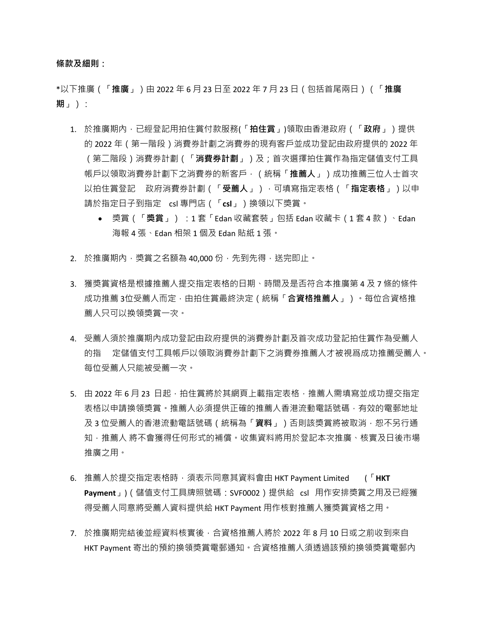**條款及細則:**

\*以下推廣(「**推廣**」)由 2022 年 6 月 23 日至 2022 年 7 月 23 日(包括首尾兩日)(「**推廣 期**」):

- 1. 於推廣期內,已經登記用拍住賞付款服務(「**拍住賞**」)領取由香港政府(「**政府**」)提供 的 2022 年(第一階段)消費券計劃之消費券的現有客戶並成功登記由政府提供的 2022 年 (第二階段)消費券計劃(「**消費券計劃**」)及;首次選擇拍住賞作為指定儲值支付工具 帳戶以領取消費券計劃下之消費券的新客戶,(統稱「**推薦人**」)成功推薦三位人士首次 以拍住賞登記 政府消費券計劃(「**受薦人**」),可填寫指定表格(「**指定表格**」)以申 請於指定日子到指定 csl 專門店(「**csl**」)換領以下獎賞。
	- 獎賞 (「**獎賞**」) : 1 套 「Edan 收藏套裝」包括 Edan 收藏卡 ( 1 套 4 款 ) 、Edan 海報 4 張、Edan 相架 1 個及 Edan 貼紙 1 張。
- 2. 於推廣期內,獎賞之名額為 40,000 份,先到先得,送完即止。
- 3. 獲獎賞資格是根據推薦人提交指定表格的日期、時間及是否符合本推廣第 4 及 7 條的條件 成功推薦 3位受薦人而定,由拍住賞最終決定 (統稱「合**資格推薦人」)**。每位合資格推 薦人只可以换領獎賞一次。
- 4. 受薦人須於推廣期內成功登記由政府提供的消費券計劃及首次成功登記拍住賞作為受薦人 的指 定儲值支付工具帳戶以領取消費券計劃下之消費券推薦人才被視爲成功推薦受薦人。 每位受薦人只能被受薦一次。
- 5. 由 2022 年 6 月 23 日起,拍住賞將於其網頁上載指定表格,推薦人需填寫並成功提交指定 表格以申請換領獎賞。推薦人必須提供正確的推薦人香港流動電話號碼,有效的電郵地址 及 3 位受薦人的香港流動電話號碼(統稱為「**資料**」)否則該獎賞將被取消,恕不另行通 知,推薦人 將不會獲得任何形式的補償。收集資料將用於登記本次推廣、核實及日後市場 推廣之用。
- 6. 推薦人於提交指定表格時,須表示同意其資料會由 HKT Payment Limited (「**HKT Payment**」)(儲值支付工具牌照號碼:SVF0002)提供給 csl 用作安排獎賞之用及已經獲 得受薦人同意將受薦人資料提供給 HKT Payment 用作核對推薦人獲獎賞資格之用。
- 7. 於推廣期完結後並經資料核實後,合資格推薦人將於 2022 年 8 月 10 日或之前收到來自 HKT Payment 寄出的預約換領獎賞電郵通知。合資格推薦人須透過該預約換領獎賞電郵內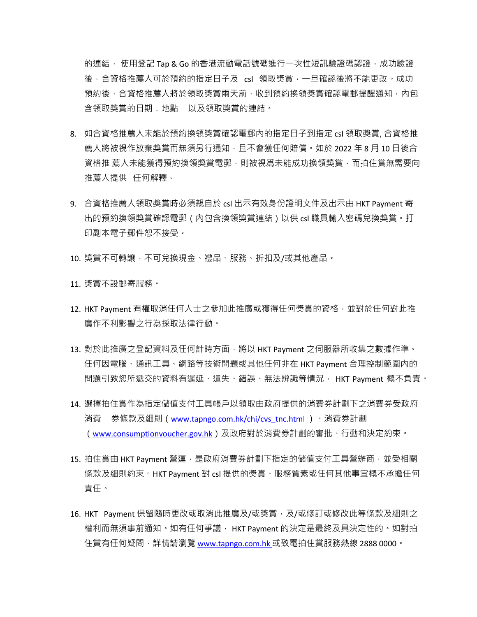的連結, 使用登記 Tap & Go 的香港流動電話號碼進行一次性短訊驗證碼認證, 成功驗證 後,合資格推薦人可於預約的指定日子及 csl 領取獎賞,一旦確認後將不能更改。成功 預約後,合資格推薦人將於領取獎賞兩天前,收到預約換領獎賞確認電郵提醒通知,內包 含領取獎賞的日期﹑地點 以及領取獎賞的連結。

- 8. 如合資格推薦人未能於預約換領獎賞確認電郵內的指定日子到指定 csl 領取獎賞, 合資格推 薦人將被視作放棄獎賞而無須另行通知,且不會獲任何賠償。如於 2022 年 8 月 10 日後合 資格推 薦人未能獲得預約換領獎賞電郵,則被視爲未能成功換領獎賞,而拍住賞無需要向 推薦人提供 任何解釋。
- 9. 合資格推薦人領取奬賞時必須親自於 csl 出示有效身份證明文件及出示由 HKT Payment 寄 出的預約換領獎賞確認電郵(內包含換領獎賞連結)以供 csl 職員輸入密碼兌換獎賞。打 印副本電子郵件恕不接受。
- 10. 獎賞不可轉讓,不可兌換現金、禮品、服務、折扣及/或其他產品。

11. 獎賞不設郵寄服務。

- 12. HKT Payment 有權取消任何人士之參加此推廣或獲得任何獎賞的資格,並對於任何對此推 廣作不利影響之行為採取法律行動。
- 13. 對於此推廣之登記資料及任何計時方面‧將以 HKT Payment 之伺服器所收集之數據作準。 任何因電腦、通訊工具、網路等技術問題或其他任何非在 HKT Payment 合理控制範圍內的 問題引致您所遞交的資料有遲延、遺失、錯誤、無法辨識等情況, HKT Payment 概不負責。
- 14. 選擇拍住賞作為指定儲值支付工具帳戶以領取由政府提供的消費券計劃下之消費券受政府 消費 券條款及細則(<u>www.tapngo.com.hk/chi/cvs\_tnc.html</u> )<sup>、</sup>消費券計劃 ([www.consumptionvoucher.gov.hk](http://www.consumptionvoucher.gov.hk/))及政府對於消費券計劃的審批、行動和決定約束。
- 15. 拍住賞由 HKT Payment 營運,是政府消費券計劃下指定的儲值支付工具營辦商,並受相關 條款及細則約束。HKT Payment 對 csl 提供的獎賞、服務質素或任何其他事宜概不承擔任何 責任。
- 16. HKT Payment 保留隨時更改或取消此推廣及/或獎賞, 及/或修訂或修改此等條款及細則之 權利而無須事前通知。如有任何爭議, HKT Payment 的決定是最終及具決定性的。如對拍 住賞有任何疑問,詳情請瀏覽 [www.tapngo.com.hk](http://www.tapngo.com.hk/) 或致電拍住賞服務熱線 2888 0000。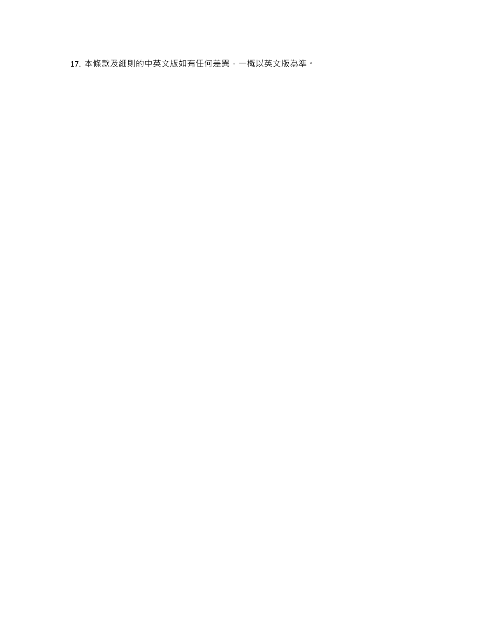17. 本條款及細則的中英文版如有任何差異,一概以英文版為準。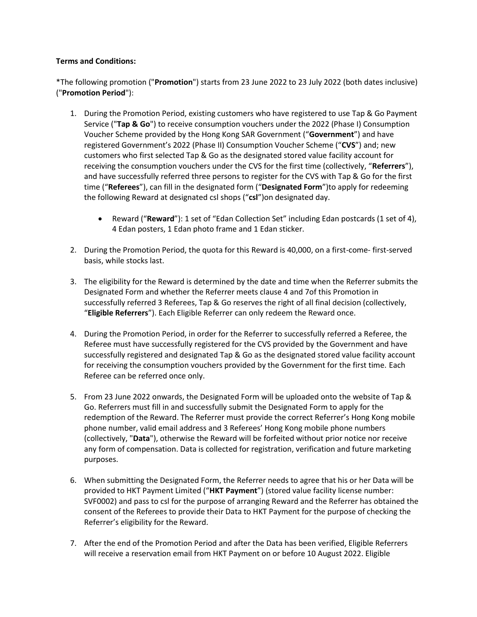## **Terms and Conditions:**

\*The following promotion ("**Promotion**") starts from 23 June 2022 to 23 July 2022 (both dates inclusive) ("**Promotion Period**"):

- 1. During the Promotion Period, existing customers who have registered to use Tap & Go Payment Service ("**Tap & Go**") to receive consumption vouchers under the 2022 (Phase I) Consumption Voucher Scheme provided by the Hong Kong SAR Government ("**Government**") and have registered Government's 2022 (Phase II) Consumption Voucher Scheme ("**CVS**") and; new customers who first selected Tap & Go as the designated stored value facility account for receiving the consumption vouchers under the CVS for the first time (collectively, "**Referrers**"), and have successfully referred three persons to register for the CVS with Tap & Go for the first time ("**Referees**"), can fill in the designated form ("**Designated Form**")to apply for redeeming the following Reward at designated csl shops ("**csl**")on designated day.
	- Reward ("**Reward**"): 1 set of "Edan Collection Set" including Edan postcards (1 set of 4), 4 Edan posters, 1 Edan photo frame and 1 Edan sticker.
- 2. During the Promotion Period, the quota for this Reward is 40,000, on a first-come- first-served basis, while stocks last.
- 3. The eligibility for the Reward is determined by the date and time when the Referrer submits the Designated Form and whether the Referrer meets clause 4 and 7of this Promotion in successfully referred 3 Referees, Tap & Go reserves the right of all final decision (collectively, "**Eligible Referrers**"). Each Eligible Referrer can only redeem the Reward once.
- 4. During the Promotion Period, in order for the Referrer to successfully referred a Referee, the Referee must have successfully registered for the CVS provided by the Government and have successfully registered and designated Tap & Go as the designated stored value facility account for receiving the consumption vouchers provided by the Government for the first time. Each Referee can be referred once only.
- 5. From 23 June 2022 onwards, the Designated Form will be uploaded onto the website of Tap & Go. Referrers must fill in and successfully submit the Designated Form to apply for the redemption of the Reward. The Referrer must provide the correct Referrer's Hong Kong mobile phone number, valid email address and 3 Referees' Hong Kong mobile phone numbers (collectively, "**Data**"), otherwise the Reward will be forfeited without prior notice nor receive any form of compensation. Data is collected for registration, verification and future marketing purposes.
- 6. When submitting the Designated Form, the Referrer needs to agree that his or her Data will be provided to HKT Payment Limited ("**HKT Payment**") (stored value facility license number: SVF0002) and pass to csl for the purpose of arranging Reward and the Referrer has obtained the consent of the Referees to provide their Data to HKT Payment for the purpose of checking the Referrer's eligibility for the Reward.
- 7. After the end of the Promotion Period and after the Data has been verified, Eligible Referrers will receive a reservation email from HKT Payment on or before 10 August 2022. Eligible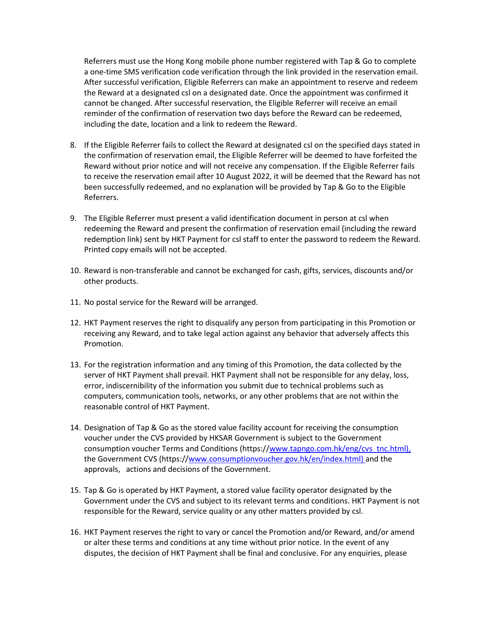Referrers must use the Hong Kong mobile phone number registered with Tap & Go to complete a one-time SMS verification code verification through the link provided in the reservation email. After successful verification, Eligible Referrers can make an appointment to reserve and redeem the Reward at a designated csl on a designated date. Once the appointment was confirmed it cannot be changed. After successful reservation, the Eligible Referrer will receive an email reminder of the confirmation of reservation two days before the Reward can be redeemed, including the date, location and a link to redeem the Reward.

- 8. If the Eligible Referrer fails to collect the Reward at designated csl on the specified days stated in the confirmation of reservation email, the Eligible Referrer will be deemed to have forfeited the Reward without prior notice and will not receive any compensation. If the Eligible Referrer fails to receive the reservation email after 10 August 2022, it will be deemed that the Reward has not been successfully redeemed, and no explanation will be provided by Tap & Go to the Eligible Referrers.
- 9. The Eligible Referrer must present a valid identification document in person at csl when redeeming the Reward and present the confirmation of reservation email (including the reward redemption link) sent by HKT Payment for csl staff to enter the password to redeem the Reward. Printed copy emails will not be accepted.
- 10. Reward is non-transferable and cannot be exchanged for cash, gifts, services, discounts and/or other products.
- 11. No postal service for the Reward will be arranged.
- 12. HKT Payment reserves the right to disqualify any person from participating in this Promotion or receiving any Reward, and to take legal action against any behavior that adversely affects this Promotion.
- 13. For the registration information and any timing of this Promotion, the data collected by the server of HKT Payment shall prevail. HKT Payment shall not be responsible for any delay, loss, error, indiscernibility of the information you submit due to technical problems such as computers, communication tools, networks, or any other problems that are not within the reasonable control of HKT Payment.
- 14. Designation of Tap & Go as the stored value facility account for receiving the consumption voucher under the CVS provided by HKSAR Government is subject to the Government consumption voucher Terms and Conditions (https://www.tapngo.com.hk/eng/cvs\_tnc.html), the Government CVS (https:/[/www.consumptionvoucher.gov.hk/en/index.html\) a](http://www.consumptionvoucher.gov.hk/en/index.html))nd the approvals, actions and decisions of the Government.
- 15. Tap & Go is operated by HKT Payment, a stored value facility operator designated by the Government under the CVS and subject to its relevant terms and conditions. HKT Payment is not responsible for the Reward, service quality or any other matters provided by csl.
- 16. HKT Payment reserves the right to vary or cancel the Promotion and/or Reward, and/or amend or alter these terms and conditions at any time without prior notice. In the event of any disputes, the decision of HKT Payment shall be final and conclusive. For any enquiries, please